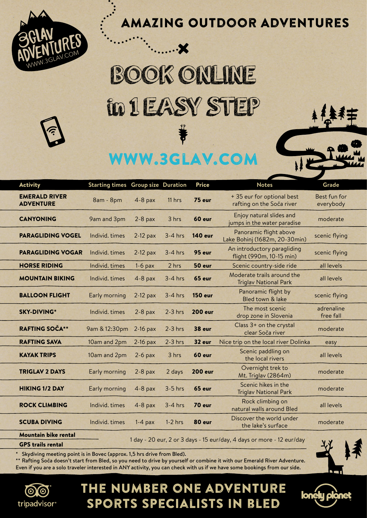

## Amazing Outdoor Adventures

## BOOK ONLINE in 1 EASY STEP

 $\boldsymbol{\chi}$ 

## www.3glav.com

| <b>Activity</b>                          | <b>Starting times Group size Duration</b> |            |           | <b>Price</b>   | <b>Notes</b>                                                          | Grade                     |
|------------------------------------------|-------------------------------------------|------------|-----------|----------------|-----------------------------------------------------------------------|---------------------------|
| <b>EMERALD RIVER</b><br><b>ADVENTURE</b> | 8am - 8pm                                 | $4-8$ pax  | 11 hrs    | 75 eur         | + 35 eur for optional best<br>rafting on the Soča river               | Best fun for<br>everybody |
| <b>CANYONING</b>                         | 9am and 3pm                               | $2-8$ pax  | 3 hrs     | 60 eur         | Enjoy natural slides and<br>jumps in the water paradise               | moderate                  |
| <b>PARAGLIDING VOGEL</b>                 | Individ, times                            | $2-12$ pax | $3-4$ hrs | <b>140 eur</b> | Panoramic flight above<br>Lake Bohinj (1682m, 20-30min)               | scenic flying             |
| <b>PARAGLIDING VOGAR</b>                 | Individ, times                            | $2-12$ pax | $3-4$ hrs | 95 eur         | An introductory paragliding<br>flight (990m, 10-15 min)               | scenic flying             |
| <b>HORSE RIDING</b>                      | Individ. times                            | $1-6$ pax  | 2 hrs     | 50 eur         | Scenic country-side ride                                              | all levels                |
| <b>MOUNTAIN BIKING</b>                   | Individ. times                            | $4-8$ pax  | $3-4$ hrs | 65 eur         | Moderate trails around the<br><b>Triglav National Park</b>            | all levels                |
| <b>BALLOON FLIGHT</b>                    | Early morning                             | $2-12$ pax | $3-4$ hrs | <b>150 eur</b> | Panoramic flight by<br>Bled town & lake                               | scenic flying             |
| <b>SKY-DIVING*</b>                       | Individ. times                            | $2-8$ pax  | $2-3$ hrs | <b>200 eur</b> | The most scenic<br>drop zone in Slovenia                              | adrenaline<br>free fall   |
| <b>RAFTING SOČA**</b>                    | 9am & 12:30pm                             | $2-16$ pax | $2-3$ hrs | 38 eur         | Class 3+ on the crystal<br>clear Soča river                           | moderate                  |
| <b>RAFTING SAVA</b>                      | 10am and 2pm                              | $2-16$ pax | $2-3$ hrs | 32 eur         | Nice trip on the local river Dolinka                                  | easy                      |
| <b>KAYAK TRIPS</b>                       | 10am and 2pm                              | $2-6$ pax  | 3 hrs     | 60 eur         | Scenic paddling on<br>the local rivers                                | all levels                |
| <b>TRIGLAV 2 DAYS</b>                    | Early morning                             | $2-8$ pax  | 2 days    | <b>200 eur</b> | Overnight trek to<br>Mt. Triglav (2864m)                              | moderate                  |
| <b>HIKING 1/2 DAY</b>                    | Early morning                             | $4-8$ pax  | $3-5$ hrs | 65 eur         | Scenic hikes in the<br><b>Triglav National Park</b>                   | moderate                  |
| <b>ROCK CLIMBING</b>                     | Individ. times                            | $4-8$ pax  | $3-4$ hrs | 70 eur         | Rock climbing on<br>natural walls around Bled                         | all levels                |
| <b>SCUBA DIVING</b>                      | Individ. times                            | $1-4$ pax  | $1-2$ hrs | 80 eur         | Discover the world under<br>the lake's surface                        | moderate                  |
| <b>Mountain bike rental</b>              |                                           |            |           |                |                                                                       |                           |
| <b>GPS trails rental</b>                 |                                           |            |           |                | 1 day - 20 eur, 2 or 3 days - 15 eur/day, 4 days or more - 12 eur/day | 25                        |

\* Skydiving meeting point is in Bovec (approx. 1,5 hrs drive from Bled).

\*\* Rafting Soča doesn't start from Bled, so you need to drive by yourself or combine it with our Emerald River Adventure. Even if you are a solo traveler interested in ANY activity, you can check with us if we have some bookings from our side.